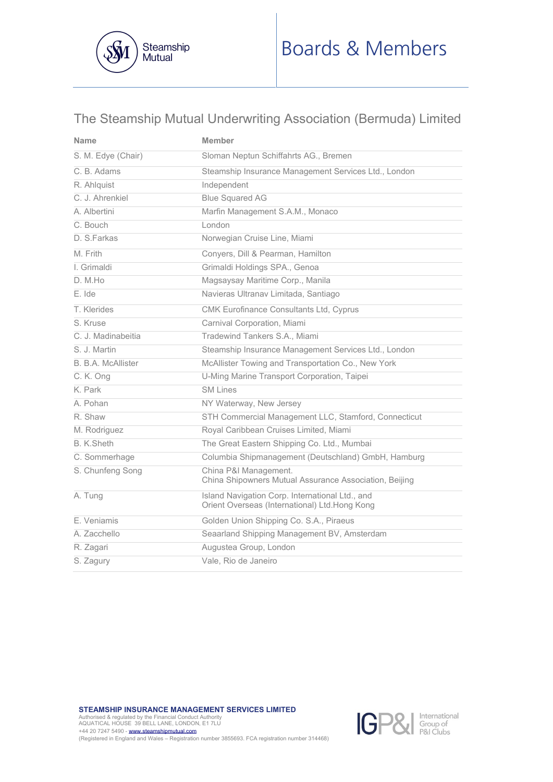

# The Steamship Mutual Underwriting Association (Bermuda) Limited

| <b>Name</b>               | Member                                                                                           |  |  |
|---------------------------|--------------------------------------------------------------------------------------------------|--|--|
| S. M. Edye (Chair)        | Sloman Neptun Schiffahrts AG., Bremen                                                            |  |  |
| C. B. Adams               | Steamship Insurance Management Services Ltd., London                                             |  |  |
| R. Ahlquist               | Independent                                                                                      |  |  |
| C. J. Ahrenkiel           | <b>Blue Squared AG</b>                                                                           |  |  |
| A. Albertini              | Marfin Management S.A.M., Monaco                                                                 |  |  |
| C. Bouch                  | London                                                                                           |  |  |
| D. S. Farkas              | Norwegian Cruise Line, Miami                                                                     |  |  |
| M. Frith                  | Conyers, Dill & Pearman, Hamilton                                                                |  |  |
| I. Grimaldi               | Grimaldi Holdings SPA., Genoa                                                                    |  |  |
| D. M.Ho                   | Magsaysay Maritime Corp., Manila                                                                 |  |  |
| E. Ide                    | Navieras Ultranav Limitada, Santiago                                                             |  |  |
| T. Klerides               | CMK Eurofinance Consultants Ltd, Cyprus                                                          |  |  |
| S. Kruse                  | Carnival Corporation, Miami                                                                      |  |  |
| C. J. Madinabeitia        | Tradewind Tankers S.A., Miami                                                                    |  |  |
| S. J. Martin              | Steamship Insurance Management Services Ltd., London                                             |  |  |
| <b>B. B.A. McAllister</b> | McAllister Towing and Transportation Co., New York                                               |  |  |
| C. K. Ong                 | U-Ming Marine Transport Corporation, Taipei                                                      |  |  |
| K. Park                   | <b>SM Lines</b>                                                                                  |  |  |
| A. Pohan                  | NY Waterway, New Jersey                                                                          |  |  |
| R. Shaw                   | STH Commercial Management LLC, Stamford, Connecticut                                             |  |  |
| M. Rodriguez              | Royal Caribbean Cruises Limited, Miami                                                           |  |  |
| B. K.Sheth                | The Great Eastern Shipping Co. Ltd., Mumbai                                                      |  |  |
| C. Sommerhage             | Columbia Shipmanagement (Deutschland) GmbH, Hamburg                                              |  |  |
| S. Chunfeng Song          | China P&I Management.<br>China Shipowners Mutual Assurance Association, Beijing                  |  |  |
| A. Tung                   | Island Navigation Corp. International Ltd., and<br>Orient Overseas (International) Ltd.Hong Kong |  |  |
| E. Veniamis               | Golden Union Shipping Co. S.A., Piraeus                                                          |  |  |
| A. Zacchello              | Seaarland Shipping Management BV, Amsterdam                                                      |  |  |
| R. Zagari                 | Augustea Group, London                                                                           |  |  |
| S. Zagury                 | Vale, Rio de Janeiro                                                                             |  |  |

**STEAMSHIP INSURANCE MANAGEMENT SERVICES LIMITED** 

Authorised & regulated by the Financial Conduct Authority AQUATICAL HOUSE 39 BELL LANE, LONDON, E1 7LU +44 20 7247 5490 - **www.steamshipmutual.com**<br>(Registered in England and Wales – Registration number 3855693. FCA registration number 314468)

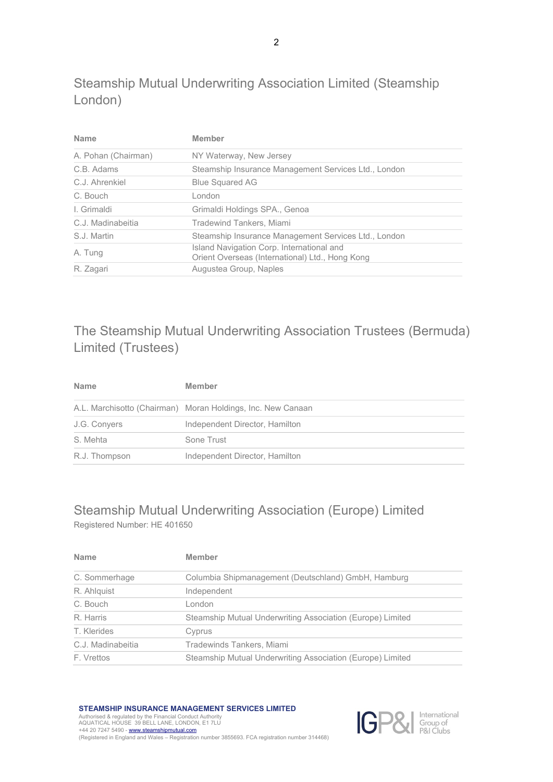Steamship Mutual Underwriting Association Limited (Steamship London)

| <b>Name</b>         | Member                                                                                       |  |
|---------------------|----------------------------------------------------------------------------------------------|--|
| A. Pohan (Chairman) | NY Waterway, New Jersey                                                                      |  |
| C.B. Adams          | Steamship Insurance Management Services Ltd., London                                         |  |
| C.J. Ahrenkiel      | <b>Blue Squared AG</b>                                                                       |  |
| C. Bouch            | London                                                                                       |  |
| I. Grimaldi         | Grimaldi Holdings SPA., Genoa                                                                |  |
| C.J. Madinabeitia   | Tradewind Tankers, Miami                                                                     |  |
| S.J. Martin         | Steamship Insurance Management Services Ltd., London                                         |  |
| A. Tung             | Island Navigation Corp. International and<br>Orient Overseas (International) Ltd., Hong Kong |  |
| R. Zagari           | Augustea Group, Naples                                                                       |  |

# The Steamship Mutual Underwriting Association Trustees (Bermuda) Limited (Trustees)

| <b>Name</b>                                                 | <b>Member</b>                  |  |
|-------------------------------------------------------------|--------------------------------|--|
| A.L. Marchisotto (Chairman) Moran Holdings, Inc. New Canaan |                                |  |
| J.G. Convers                                                | Independent Director, Hamilton |  |
| S. Mehta                                                    | Sone Trust                     |  |
| R.J. Thompson                                               | Independent Director, Hamilton |  |

## [Steamship Mutual Underwriting Association \(Europe\) Limited](https://www.steamshipmutual.com/About-Us/SMUAE.htm) Registered Number: HE 401650

| <b>Name</b>       | <b>Member</b>                                              |  |
|-------------------|------------------------------------------------------------|--|
| C. Sommerhage     | Columbia Shipmanagement (Deutschland) GmbH, Hamburg        |  |
| R. Ahlguist       | Independent                                                |  |
| C. Bouch          | London                                                     |  |
| R. Harris         | Steamship Mutual Underwriting Association (Europe) Limited |  |
| T. Klerides       | Cyprus                                                     |  |
| C.J. Madinabeitia | Tradewinds Tankers, Miami                                  |  |
| F. Vrettos        | Steamship Mutual Underwriting Association (Europe) Limited |  |
|                   |                                                            |  |

**STEAMSHIP INSURANCE MANAGEMENT SERVICES LIMITED** 

Authorised & regulated by the Financial Conduct Authority AQUATICAL HOUSE 39 BELL LANE, LONDON, E1 7LU +44 20 7247 5490 [- www.steamshipmutual.com](http://www.steamshipmutual.com/) 



(Registered in England and Wales – Registration number 3855693. FCA registration number 314468)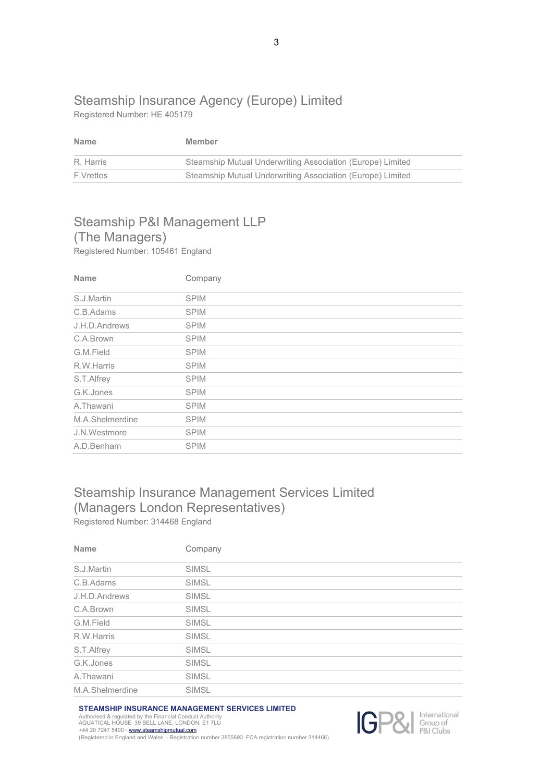### [Steamship Insurance Agency \(Europe\) Limited](https://www.steamshipmutual.com/About-Us/SMUAE.htm) Registered Number: HE 405179

| <b>Name</b> | Member                                                     |  |
|-------------|------------------------------------------------------------|--|
| R. Harris   | Steamship Mutual Underwriting Association (Europe) Limited |  |
| F.Vrettos   | Steamship Mutual Underwriting Association (Europe) Limited |  |

# [Steamship P&I Management LLP](https://www.steamshipmutual.com/About-Us/SMUAE.htm)  (The Managers)

Registered Number: 105461 England

| <b>Name</b>     | Company     |
|-----------------|-------------|
| S.J.Martin      | <b>SPIM</b> |
| C.B.Adams       | <b>SPIM</b> |
| J.H.D.Andrews   | <b>SPIM</b> |
| C.A.Brown       | <b>SPIM</b> |
| G.M.Field       | <b>SPIM</b> |
| R.W.Harris      | <b>SPIM</b> |
| S.T.Alfrey      | <b>SPIM</b> |
| G.K.Jones       | <b>SPIM</b> |
| A.Thawani       | <b>SPIM</b> |
| M.A.Shelmerdine | <b>SPIM</b> |
| J.N.Westmore    | <b>SPIM</b> |
| A.D.Benham      | <b>SPIM</b> |

## Steamship Insurance Management Services Limited (Managers London Representatives) Registered Number: 314468 England

| <b>Name</b>     | Company      |  |
|-----------------|--------------|--|
| S.J.Martin      | <b>SIMSL</b> |  |
| C.B.Adams       | <b>SIMSL</b> |  |
| J.H.D.Andrews   | <b>SIMSL</b> |  |
| C.A.Brown       | <b>SIMSL</b> |  |
| G.M.Field       | <b>SIMSL</b> |  |
| R.W.Harris      | SIMSL        |  |
| S.T.Alfrey      | <b>SIMSL</b> |  |
| G.K.Jones       | <b>SIMSL</b> |  |
| A.Thawani       | SIMSL        |  |
| M.A.Shelmerdine | <b>SIMSL</b> |  |

#### **STEAMSHIP INSURANCE MANAGEMENT SERVICES LIMITED**

Authorised & regulated by the Financial Conduct Authority AQUATICAL HOUSE 39 BELL LANE, LONDON, E1 7LU +44 20 7247 5490 [- www.steamshipmutual.com](http://www.steamshipmutual.com/)  (Registered in England and Wales – Registration number 3855693. FCA registration number 314468)